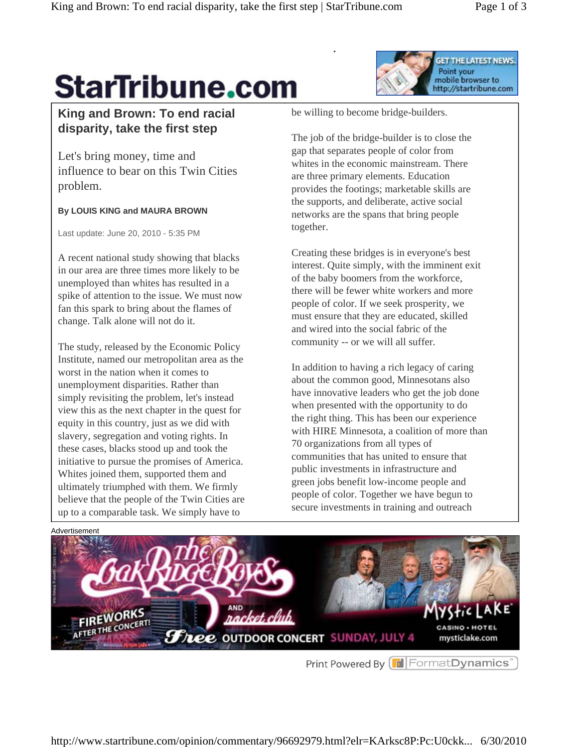GET THE LATEST NEWS.

mobile browser to http://startribune.com

Point your

## **StarTribune.com**

## **King and Brown: To end racial disparity, take the first step**

Let's bring money, time and influence to bear on this Twin Cities problem.

## **By LOUIS KING and MAURA BROWN**

Last update: June 20, 2010 - 5:35 PM

A recent national study showing that blacks in our area are three times more likely to be unemployed than whites has resulted in a spike of attention to the issue. We must now fan this spark to bring about the flames of change. Talk alone will not do it.

The study, released by the Economic Policy Institute, named our metropolitan area as the worst in the nation when it comes to unemployment disparities. Rather than simply revisiting the problem, let's instead view this as the next chapter in the quest for equity in this country, just as we did with slavery, segregation and voting rights. In these cases, blacks stood up and took the initiative to pursue the promises of America. Whites joined them, supported them and ultimately triumphed with them. We firmly believe that the people of the Twin Cities are up to a comparable task. We simply have to

be willing to become bridge-builders.

The job of the bridge-builder is to close the gap that separates people of color from whites in the economic mainstream. There are three primary elements. Education provides the footings; marketable skills are the supports, and deliberate, active social networks are the spans that bring people together.

Creating these bridges is in everyone's best interest. Quite simply, with the imminent exit of the baby boomers from the workforce, there will be fewer white workers and more people of color. If we seek prosperity, we must ensure that they are educated, skilled and wired into the social fabric of the community -- or we will all suffer.

In addition to having a rich legacy of caring about the common good, Minnesotans also have innovative leaders who get the job done when presented with the opportunity to do the right thing. This has been our experience with HIRE Minnesota, a coalition of more than 70 organizations from all types of communities that has united to ensure that public investments in infrastructure and green jobs benefit low-income people and people of color. Together we have begun to secure investments in training and outreach



Print Powered By **F** Format Dynamics<sup>\*</sup>

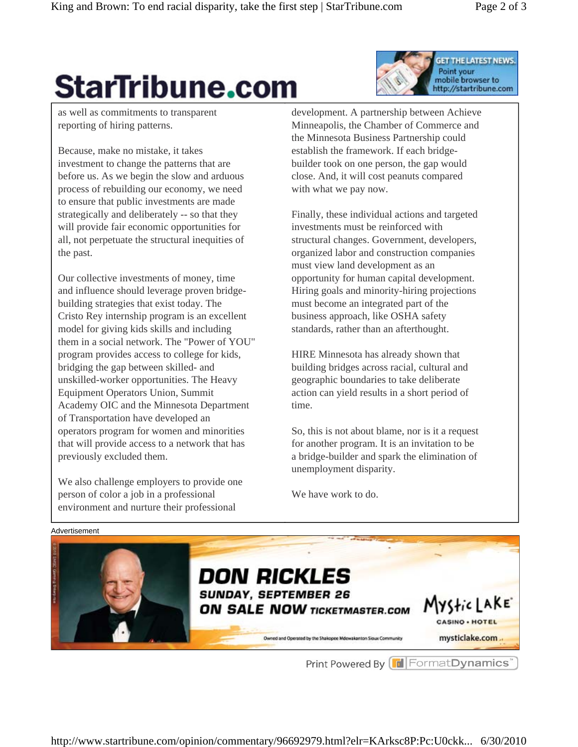**GET THE LATEST NEWS.** 

http://startribune.com

Point your mobile browser to

## **StarTribune.com**

as well as commitments to transparent reporting of hiring patterns.

Because, make no mistake, it takes investment to change the patterns that are before us. As we begin the slow and arduous process of rebuilding our economy, we need to ensure that public investments are made strategically and deliberately -- so that they will provide fair economic opportunities for all, not perpetuate the structural inequities of the past.

Our collective investments of money, time and influence should leverage proven bridgebuilding strategies that exist today. The Cristo Rey internship program is an excellent model for giving kids skills and including them in a social network. The "Power of YOU" program provides access to college for kids, bridging the gap between skilled- and unskilled-worker opportunities. The Heavy Equipment Operators Union, Summit Academy OIC and the Minnesota Department of Transportation have developed an operators program for women and minorities that will provide access to a network that has previously excluded them.

We also challenge employers to provide one person of color a job in a professional environment and nurture their professional

development. A partnership between Achieve Minneapolis, the Chamber of Commerce and the Minnesota Business Partnership could establish the framework. If each bridgebuilder took on one person, the gap would close. And, it will cost peanuts compared with what we pay now.

Finally, these individual actions and targeted investments must be reinforced with structural changes. Government, developers, organized labor and construction companies must view land development as an opportunity for human capital development. Hiring goals and minority-hiring projections must become an integrated part of the business approach, like OSHA safety standards, rather than an afterthought.

HIRE Minnesota has already shown that building bridges across racial, cultural and geographic boundaries to take deliberate action can yield results in a short period of time.

So, this is not about blame, nor is it a request for another program. It is an invitation to be a bridge-builder and spark the elimination of unemployment disparity.

We have work to do.



Print Powered By FormatDynamics